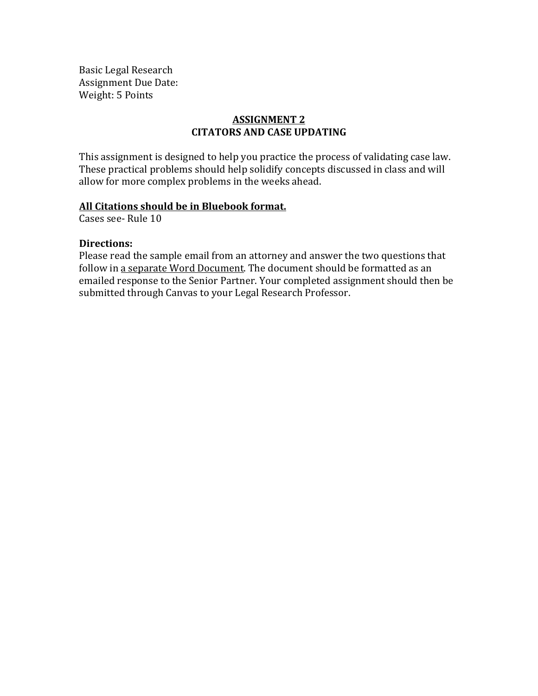Basic Legal Research Assignment Due Date: Weight: 5 Points

## **ASSIGNMENT 2 CITATORS AND CASE UPDATING**

This assignment is designed to help you practice the process of validating case law. These practical problems should help solidify concepts discussed in class and will allow for more complex problems in the weeks ahead.

## All Citations should be in Bluebook format.

Cases see- Rule 10

## **Directions:**

Please read the sample email from an attorney and answer the two questions that follow in a separate Word Document. The document should be formatted as an emailed response to the Senior Partner. Your completed assignment should then be submitted through Canvas to your Legal Research Professor.